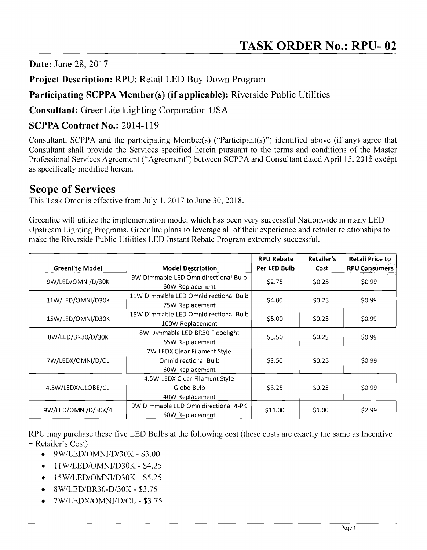**Date:** June 28, 2017

**Project Description:** RPU: Retail LED Buy Down Program

### **Participating SCPPA Member(s) (if applicable):** Riverside Public Utilities

**Consultant:** GreenLite Lighting Corporation USA

#### **SCPPA Contract No.:** 2014-119

Consultant, SCPPA and the participating Member(s) ("Participant(s)") identified above (if any) agree that Consultant shall provide the Services specified herein pursuant to the terms and conditions of the Master Professional Services Agreement ("Agreement") between SCPPA and Consultant dated April 15, 2015 except as specifically modified herein.

### **Scope of Services**

This Task Order is effective from July 1, 2017 to June 30, 2018.

Greenlite will utilize the implementation model which has been very successful Nationwide in many LED Upstream Lighting Programs. Greenlite plans to leverage all of their experience and retailer relationships to make the Riverside Public Utilities LED Instant Rebate Program extremely successful.

|                        |                                                                                | <b>RPU Rebate</b> | Retailer's | <b>Retail Price to</b> |
|------------------------|--------------------------------------------------------------------------------|-------------------|------------|------------------------|
| <b>Greenlite Model</b> | <b>Model Description</b>                                                       | Per LED Bulb      | Cost       | <b>RPU Consumers</b>   |
| 9W/LED/OMNI/D/30K      | 9W Dimmable LED Omnidirectional Bulb<br>60W Replacement                        | \$2.75            | \$0.25     | \$0.99                 |
| 11W/LED/OMNI/D30K      | 11W Dimmable LED Omnidirectional Bulb<br>75W Replacement                       | \$4.00            | \$0.25     | \$0.99                 |
| 15W/LED/OMNI/D30K      | 15W Dimmable LED Omnidirectional Bulb<br>100W Replacement                      | \$5.00            | \$0.25     | \$0.99                 |
| 8W/LED/BR30/D/30K      | 8W Dimmable LED BR30 Floodlight<br>65W Replacement                             | \$3.50            | \$0.25     | \$0.99                 |
| 7W/LEDX/OMNI/D/CL      | 7W LEDX Clear Filament Style<br><b>Omnidirectional Bulb</b><br>60W Replacement | \$3.50            | \$0.25     | \$0.99                 |
| 4.5W/LEDX/GLOBE/CL     | 4.5W LEDX Clear Filament Style<br>Globe Bulb<br>40W Replacement                | \$3.25            | SO.25      | S0.99                  |
| 9W/LED/OMNI/D/30K/4    | 9W Dimmable LED Omnidirectional 4-PK<br>60W Replacement                        | \$11.00           | \$1.00     | \$2.99                 |

RPU may purchase these five LED Bulbs at the following cost (these costs are exactly the same as Incentive + Retailer's Cost)

- 9W/LED/OMNI/D/30K \$3.00
- $\bullet$  11 W/LED/OMNI/D30K \$4.25
- $\bullet$  15W/LED/OMNI/D30K \$5.25
- 8W/LED/BR30-D/30K \$3.75
- 7W/LEDX/OMNI/D/CL \$3.75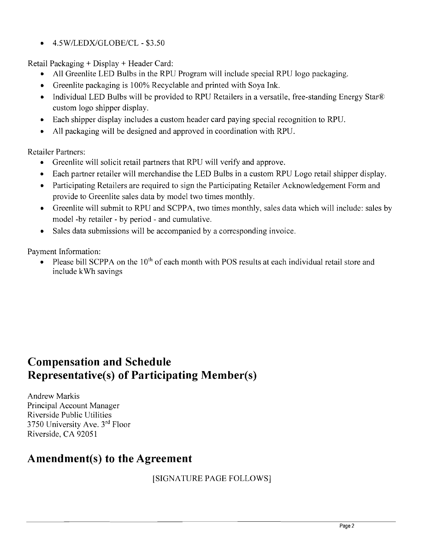• 4.5W/LEDX/GLOBE/CL - \$3.50

Retail Packaging + Display + Header Card:

- All Greenlite LED Bulbs in the RPU Program will include special RPU logo packaging.
- Greenlite packaging is 100% Recyclable and printed with Soya Ink.
- Individual LED Bulbs will be provided to RPU Retailers in a versatile, free-standing Energy Star® custom logo shipper display.
- Each shipper display includes a custom header card paying special recognition to RPU.
- All packaging will be designed and approved in coordination with RPU.

Retailer Partners:

- Greenlite will solicit retail partners that RPU will verify and approve.
- Each partner retailer will merchandise the LED Bulbs in a custom RPU Logo retail shipper display.
- Participating Retailers are required to sign the Participating Retailer Acknowledgement Form and provide to Greenlite sales data by model two times monthly.
- Greenlite will submit to RPU and SCPPA, two times monthly, sales data which will include: sales by model -by retailer - by period - and cumulative.
- Sales data submissions will be accompanied by a corresponding invoice.

Payment Information:

• Please bill SCPPA on the  $10<sup>th</sup>$  of each month with POS results at each individual retail store and include kWh savings

### **Compensation and Schedule Representative(s) of Participating Member(s)**

Andrew Markis Principal Account Manager Riverside Public Utilities 3750 University Ave. 3rd Floor Riverside, CA 92051

## Amendment(s) to the Agreement

[SIGNATURE PAGE FOLLOWS]